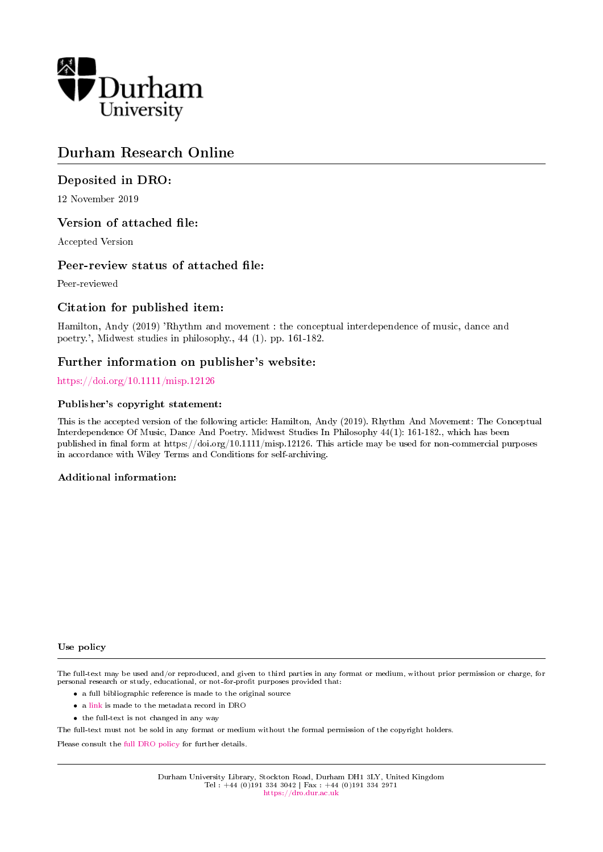

# Durham Research Online

# Deposited in DRO:

12 November 2019

# Version of attached file:

Accepted Version

# Peer-review status of attached file:

Peer-reviewed

# Citation for published item:

Hamilton, Andy (2019) 'Rhythm and movement : the conceptual interdependence of music, dance and poetry.', Midwest studies in philosophy., 44 (1). pp. 161-182.

# Further information on publisher's website:

# <https://doi.org/10.1111/misp.12126>

# Publisher's copyright statement:

This is the accepted version of the following article: Hamilton, Andy (2019). Rhythm And Movement: The Conceptual Interdependence Of Music, Dance And Poetry. Midwest Studies In Philosophy 44(1): 161-182., which has been published in final form at https://doi.org/10.1111/misp.12126. This article may be used for non-commercial purposes in accordance with Wiley Terms and Conditions for self-archiving.

### Additional information:

#### Use policy

The full-text may be used and/or reproduced, and given to third parties in any format or medium, without prior permission or charge, for personal research or study, educational, or not-for-profit purposes provided that:

- a full bibliographic reference is made to the original source
- a [link](http://dro.dur.ac.uk/29589/) is made to the metadata record in DRO
- the full-text is not changed in any way

The full-text must not be sold in any format or medium without the formal permission of the copyright holders.

Please consult the [full DRO policy](https://dro.dur.ac.uk/policies/usepolicy.pdf) for further details.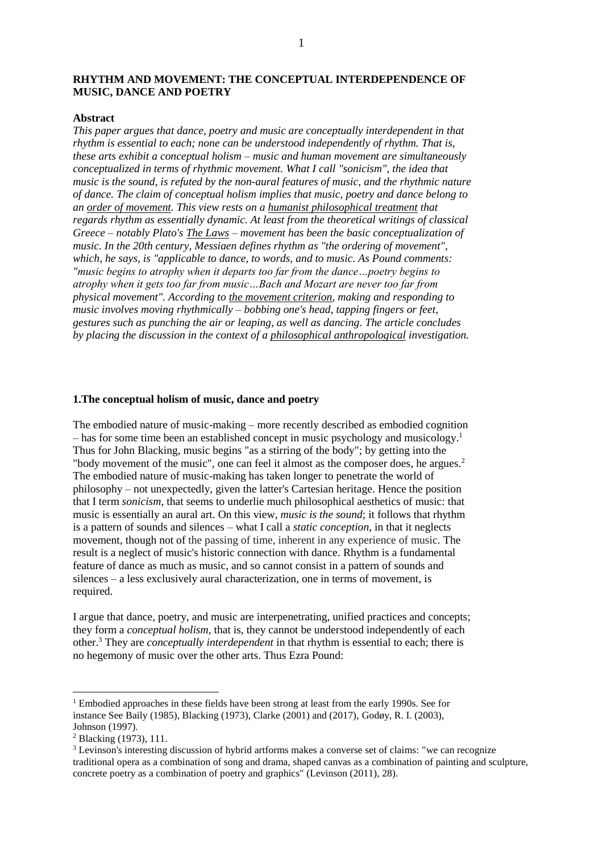# **RHYTHM AND MOVEMENT: THE CONCEPTUAL INTERDEPENDENCE OF MUSIC, DANCE AND POETRY**

### **Abstract**

*This paper argues that dance, poetry and music are conceptually interdependent in that rhythm is essential to each; none can be understood independently of rhythm. That is, these arts exhibit a conceptual holism – music and human movement are simultaneously conceptualized in terms of rhythmic movement. What I call "sonicism", the idea that music is the sound, is refuted by the non-aural features of music, and the rhythmic nature of dance. The claim of conceptual holism implies that music, poetry and dance belong to an order of movement. This view rests on a humanist philosophical treatment that regards rhythm as essentially dynamic. At least from the theoretical writings of classical Greece – notably Plato's The Laws – movement has been the basic conceptualization of music. In the 20th century, Messiaen defines rhythm as "the ordering of movement", which, he says, is "applicable to dance, to words, and to music. As Pound comments: "music begins to atrophy when it departs too far from the dance…poetry begins to atrophy when it gets too far from music…Bach and Mozart are never too far from physical movement". According to the movement criterion, making and responding to music involves moving rhythmically – bobbing one's head, tapping fingers or feet, gestures such as punching the air or leaping, as well as dancing. The article concludes by placing the discussion in the context of a philosophical anthropological investigation.* 

#### **1.The conceptual holism of music, dance and poetry**

The embodied nature of music-making – more recently described as embodied cognition – has for some time been an established concept in music psychology and musicology. 1 Thus for John Blacking, music begins "as a stirring of the body"; by getting into the "body movement of the music", one can feel it almost as the composer does, he argues.<sup>2</sup> The embodied nature of music-making has taken longer to penetrate the world of philosophy – not unexpectedly, given the latter's Cartesian heritage. Hence the position that I term *sonicism*, that seems to underlie much philosophical aesthetics of music: that music is essentially an aural art. On this view, *music is the sound*; it follows that rhythm is a pattern of sounds and silences – what I call a *static conception*, in that it neglects movement, though not of the passing of time, inherent in any experience of music. The result is a neglect of music's historic connection with dance. Rhythm is a fundamental feature of dance as much as music, and so cannot consist in a pattern of sounds and silences – a less exclusively aural characterization, one in terms of movement, is required.

I argue that dance, poetry, and music are interpenetrating, unified practices and concepts; they form a *conceptual holism*, that is, they cannot be understood independently of each other. <sup>3</sup> They are *conceptually interdependent* in that rhythm is essential to each; there is no hegemony of music over the other arts. Thus Ezra Pound:

 $1$  Embodied approaches in these fields have been strong at least from the early 1990s. See for instance See Baily (1985), Blacking (1973), Clarke (2001) and (2017), Godøy, R. I. (2003), Johnson (1997).

<sup>2</sup> Blacking (1973), 111.

<sup>&</sup>lt;sup>3</sup> Levinson's interesting discussion of hybrid artforms makes a converse set of claims: "we can recognize traditional opera as a combination of song and drama, shaped canvas as a combination of painting and sculpture, concrete poetry as a combination of poetry and graphics" (Levinson (2011), 28).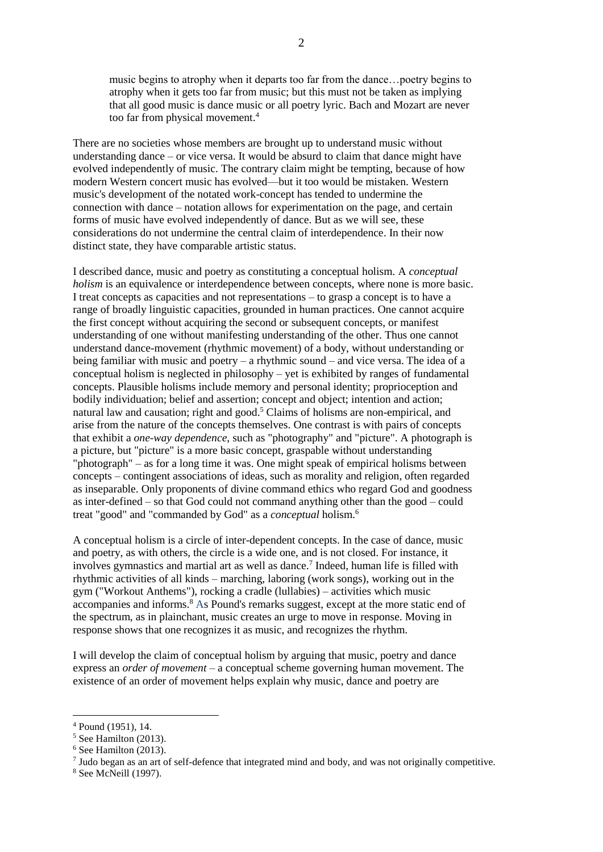music begins to atrophy when it departs too far from the dance…poetry begins to atrophy when it gets too far from music; but this must not be taken as implying that all good music is dance music or all poetry lyric. Bach and Mozart are never too far from physical movement.<sup>4</sup>

There are no societies whose members are brought up to understand music without understanding dance – or vice versa. It would be absurd to claim that dance might have evolved independently of music. The contrary claim might be tempting, because of how modern Western concert music has evolved—but it too would be mistaken. Western music's development of the notated work-concept has tended to undermine the connection with dance – notation allows for experimentation on the page, and certain forms of music have evolved independently of dance. But as we will see, these considerations do not undermine the central claim of interdependence. In their now distinct state, they have comparable artistic status.

I described dance, music and poetry as constituting a conceptual holism. A *conceptual holism* is an equivalence or interdependence between concepts, where none is more basic. I treat concepts as capacities and not representations – to grasp a concept is to have a range of broadly linguistic capacities, grounded in human practices. One cannot acquire the first concept without acquiring the second or subsequent concepts, or manifest understanding of one without manifesting understanding of the other. Thus one cannot understand dance-movement (rhythmic movement) of a body, without understanding or being familiar with music and poetry – a rhythmic sound – and vice versa. The idea of a conceptual holism is neglected in philosophy – yet is exhibited by ranges of fundamental concepts. Plausible holisms include memory and personal identity; proprioception and bodily individuation; belief and assertion; concept and object; intention and action; natural law and causation; right and good.<sup>5</sup> Claims of holisms are non-empirical, and arise from the nature of the concepts themselves. One contrast is with pairs of concepts that exhibit a *one-way dependence*, such as "photography" and "picture". A photograph is a picture, but "picture" is a more basic concept, graspable without understanding "photograph" – as for a long time it was. One might speak of empirical holisms between concepts – contingent associations of ideas, such as morality and religion, often regarded as inseparable. Only proponents of divine command ethics who regard God and goodness as inter-defined – so that God could not command anything other than the good – could treat "good" and "commanded by God" as a *conceptual* holism.<sup>6</sup>

A conceptual holism is a circle of inter-dependent concepts. In the case of dance, music and poetry, as with others, the circle is a wide one, and is not closed. For instance, it involves gymnastics and martial art as well as dance.<sup>7</sup> Indeed, human life is filled with rhythmic activities of all kinds – marching, laboring (work songs), working out in the gym ("Workout Anthems"), rocking a cradle (lullabies) – activities which music accompanies and informs. <sup>8</sup> As Pound's remarks suggest, except at the more static end of the spectrum, as in plainchant, music creates an urge to move in response. Moving in response shows that one recognizes it as music, and recognizes the rhythm.

I will develop the claim of conceptual holism by arguing that music, poetry and dance express an *order of movement* – a conceptual scheme governing human movement. The existence of an order of movement helps explain why music, dance and poetry are

<sup>4</sup> Pound (1951), 14.

 $<sup>5</sup>$  See Hamilton (2013).</sup>

<sup>6</sup> See Hamilton (2013).

<sup>&</sup>lt;sup>7</sup> Judo began as an art of self-defence that integrated mind and body, and was not originally competitive.

<sup>8</sup> See McNeill (1997).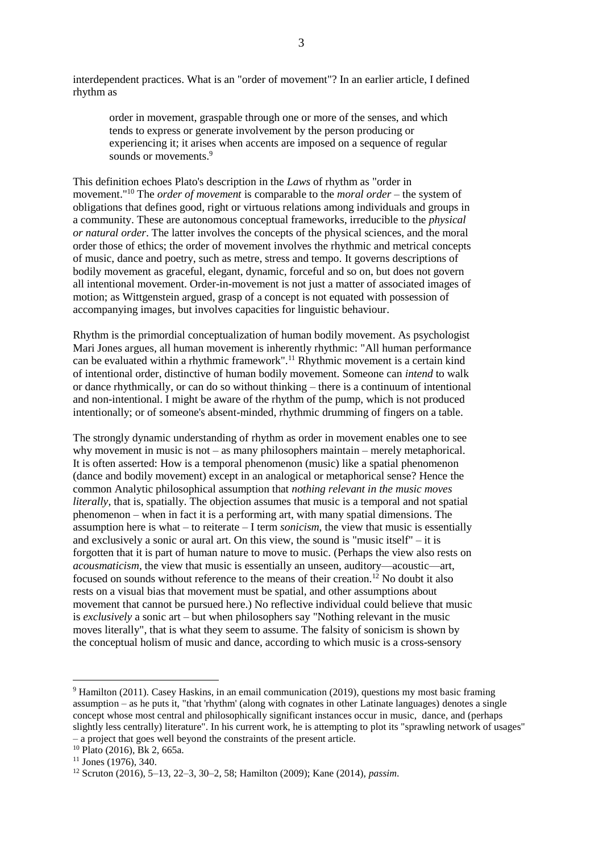interdependent practices. What is an "order of movement"? In an earlier article, I defined rhythm as

order in movement, graspable through one or more of the senses, and which tends to express or generate involvement by the person producing or experiencing it; it arises when accents are imposed on a sequence of regular sounds or movements.<sup>9</sup>

This definition echoes Plato's description in the *Laws* of rhythm as "order in movement."<sup>10</sup> The *order of movement* is comparable to the *moral order –* the system of obligations that defines good, right or virtuous relations among individuals and groups in a community. These are autonomous conceptual frameworks, irreducible to the *physical or natural order*. The latter involves the concepts of the physical sciences, and the moral order those of ethics; the order of movement involves the rhythmic and metrical concepts of music, dance and poetry, such as metre, stress and tempo. It governs descriptions of bodily movement as graceful, elegant, dynamic, forceful and so on, but does not govern all intentional movement. Order-in-movement is not just a matter of associated images of motion; as Wittgenstein argued, grasp of a concept is not equated with possession of accompanying images, but involves capacities for linguistic behaviour.

Rhythm is the primordial conceptualization of human bodily movement. As psychologist Mari Jones argues, all human movement is inherently rhythmic: "All human performance can be evaluated within a rhythmic framework".<sup>11</sup> Rhythmic movement is a certain kind of intentional order, distinctive of human bodily movement. Someone can *intend* to walk or dance rhythmically, or can do so without thinking – there is a continuum of intentional and non-intentional. I might be aware of the rhythm of the pump, which is not produced intentionally; or of someone's absent-minded, rhythmic drumming of fingers on a table.

The strongly dynamic understanding of rhythm as order in movement enables one to see why movement in music is not – as many philosophers maintain – merely metaphorical. It is often asserted: How is a temporal phenomenon (music) like a spatial phenomenon (dance and bodily movement) except in an analogical or metaphorical sense? Hence the common Analytic philosophical assumption that *nothing relevant in the music moves literally*, that is, spatially. The objection assumes that music is a temporal and not spatial phenomenon – when in fact it is a performing art, with many spatial dimensions. The assumption here is what – to reiterate – I term *sonicism*, the view that music is essentially and exclusively a sonic or aural art. On this view, the sound is "music itself" – it is forgotten that it is part of human nature to move to music. (Perhaps the view also rests on *acousmaticism*, the view that music is essentially an unseen, auditory—acoustic—art, focused on sounds without reference to the means of their creation.<sup>12</sup> No doubt it also rests on a visual bias that movement must be spatial, and other assumptions about movement that cannot be pursued here.) No reflective individual could believe that music is *exclusively* a sonic art – but when philosophers say "Nothing relevant in the music moves literally", that is what they seem to assume. The falsity of sonicism is shown by the conceptual holism of music and dance, according to which music is a cross-sensory

<sup>&</sup>lt;sup>9</sup> Hamilton (2011). Casey Haskins, in an email communication (2019), questions my most basic framing assumption – as he puts it, "that 'rhythm' (along with cognates in other Latinate languages) denotes a single concept whose most central and philosophically significant instances occur in music, dance, and (perhaps slightly less centrally) literature". In his current work, he is attempting to plot its "sprawling network of usages" – a project that goes well beyond the constraints of the present article.

<sup>10</sup> Plato (2016), Bk 2, 665a.

 $11$  Jones (1976), 340.

<sup>12</sup> Scruton (2016), 5–13, 22–3, 30–2, 58; Hamilton (2009); Kane (2014), *passim*.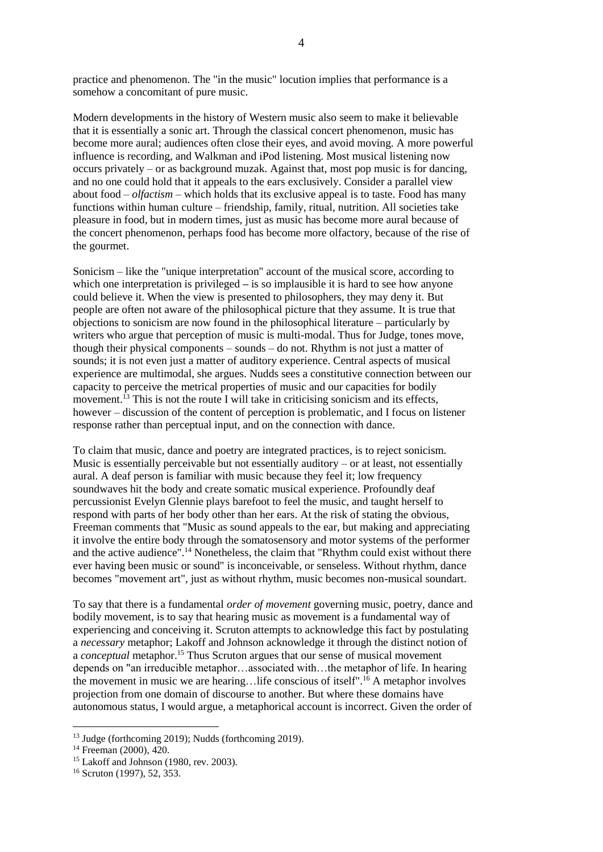practice and phenomenon. The "in the music" locution implies that performance is a somehow a concomitant of pure music.

Modern developments in the history of Western music also seem to make it believable that it is essentially a sonic art. Through the classical concert phenomenon, music has become more aural; audiences often close their eyes, and avoid moving. A more powerful influence is recording, and Walkman and iPod listening. Most musical listening now occurs privately – or as background muzak. Against that, most pop music is for dancing, and no one could hold that it appeals to the ears exclusively. Consider a parallel view about food – *olfactism –* which holds that its exclusive appeal is to taste. Food has many functions within human culture – friendship, family, ritual, nutrition. All societies take pleasure in food, but in modern times, just as music has become more aural because of the concert phenomenon, perhaps food has become more olfactory, because of the rise of the gourmet.

Sonicism – like the "unique interpretation" account of the musical score, according to which one interpretation is privileged – is so implausible it is hard to see how anyone could believe it. When the view is presented to philosophers, they may deny it. But people are often not aware of the philosophical picture that they assume. It is true that objections to sonicism are now found in the philosophical literature – particularly by writers who argue that perception of music is multi-modal. Thus for Judge, tones move, though their physical components – sounds – do not. Rhythm is not just a matter of sounds; it is not even just a matter of auditory experience. Central aspects of musical experience are multimodal, she argues. Nudds sees a constitutive connection between our capacity to perceive the metrical properties of music and our capacities for bodily movement.<sup>13</sup> This is not the route I will take in criticising sonicism and its effects, however – discussion of the content of perception is problematic, and I focus on listener response rather than perceptual input, and on the connection with dance.

To claim that music, dance and poetry are integrated practices, is to reject sonicism. Music is essentially perceivable but not essentially auditory – or at least, not essentially aural. A deaf person is familiar with music because they feel it; low frequency soundwaves hit the body and create somatic musical experience. Profoundly deaf percussionist Evelyn Glennie plays barefoot to feel the music, and taught herself to respond with parts of her body other than her ears. At the risk of stating the obvious, Freeman comments that "Music as sound appeals to the ear, but making and appreciating it involve the entire body through the somatosensory and motor systems of the performer and the active audience".<sup>14</sup> Nonetheless, the claim that "Rhythm could exist without there ever having been music or sound" is inconceivable, or senseless. Without rhythm, dance becomes "movement art", just as without rhythm, music becomes non-musical soundart.

To say that there is a fundamental *order of movement* governing music, poetry, dance and bodily movement, is to say that hearing music as movement is a fundamental way of experiencing and conceiving it. Scruton attempts to acknowledge this fact by postulating a *necessary* metaphor; Lakoff and Johnson acknowledge it through the distinct notion of a *conceptual* metaphor. <sup>15</sup> Thus Scruton argues that our sense of musical movement depends on "an irreducible metaphor…associated with…the metaphor of life. In hearing the movement in music we are hearing…life conscious of itself".<sup>16</sup> A metaphor involves projection from one domain of discourse to another. But where these domains have autonomous status, I would argue, a metaphorical account is incorrect. Given the order of

<sup>13</sup> Judge (forthcoming 2019); Nudds (forthcoming 2019).

<sup>14</sup> Freeman (2000), 420.

<sup>15</sup> Lakoff and Johnson (1980, rev. 2003).

<sup>16</sup> Scruton (1997), 52, 353.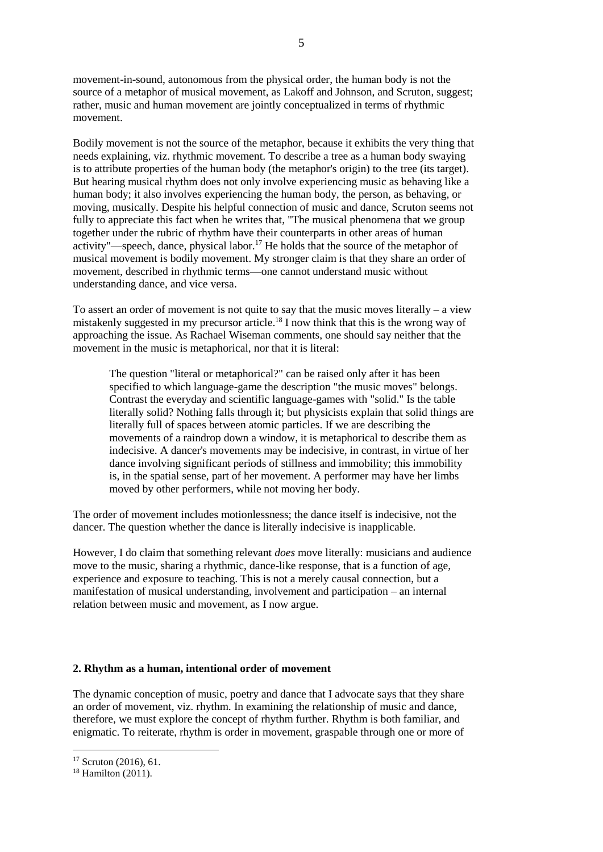movement-in-sound, autonomous from the physical order, the human body is not the source of a metaphor of musical movement, as Lakoff and Johnson, and Scruton, suggest; rather, music and human movement are jointly conceptualized in terms of rhythmic movement.

Bodily movement is not the source of the metaphor, because it exhibits the very thing that needs explaining, viz. rhythmic movement. To describe a tree as a human body swaying is to attribute properties of the human body (the metaphor's origin) to the tree (its target). But hearing musical rhythm does not only involve experiencing music as behaving like a human body; it also involves experiencing the human body, the person, as behaving, or moving, musically. Despite his helpful connection of music and dance, Scruton seems not fully to appreciate this fact when he writes that, "The musical phenomena that we group together under the rubric of rhythm have their counterparts in other areas of human activity"—speech, dance, physical labor.<sup>17</sup> He holds that the source of the metaphor of musical movement is bodily movement. My stronger claim is that they share an order of movement, described in rhythmic terms—one cannot understand music without understanding dance, and vice versa.

To assert an order of movement is not quite to say that the music moves literally – a view mistakenly suggested in my precursor article. <sup>18</sup> I now think that this is the wrong way of approaching the issue. As Rachael Wiseman comments, one should say neither that the movement in the music is metaphorical, nor that it is literal:

The question "literal or metaphorical?" can be raised only after it has been specified to which language-game the description "the music moves" belongs. Contrast the everyday and scientific language-games with "solid." Is the table literally solid? Nothing falls through it; but physicists explain that solid things are literally full of spaces between atomic particles. If we are describing the movements of a raindrop down a window, it is metaphorical to describe them as indecisive. A dancer's movements may be indecisive, in contrast, in virtue of her dance involving significant periods of stillness and immobility; this immobility is, in the spatial sense, part of her movement. A performer may have her limbs moved by other performers, while not moving her body.

The order of movement includes motionlessness; the dance itself is indecisive, not the dancer. The question whether the dance is literally indecisive is inapplicable.

However, I do claim that something relevant *does* move literally: musicians and audience move to the music, sharing a rhythmic, dance-like response, that is a function of age, experience and exposure to teaching. This is not a merely causal connection, but a manifestation of musical understanding, involvement and participation – an internal relation between music and movement, as I now argue.

# **2. Rhythm as a human, intentional order of movement**

The dynamic conception of music, poetry and dance that I advocate says that they share an order of movement, viz. rhythm. In examining the relationship of music and dance, therefore, we must explore the concept of rhythm further. Rhythm is both familiar, and enigmatic. To reiterate, rhythm is order in movement, graspable through one or more of

<sup>17</sup> Scruton (2016), 61.

<sup>18</sup> Hamilton (2011).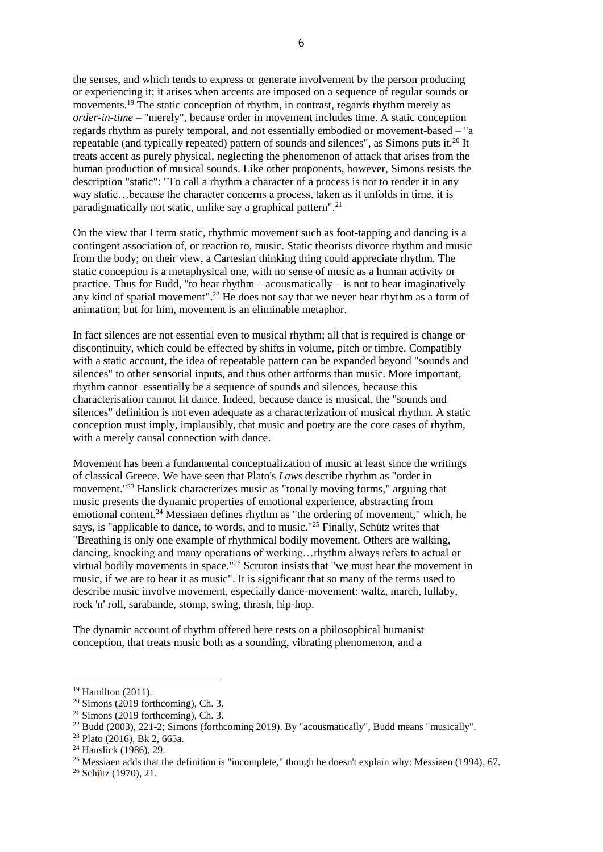the senses, and which tends to express or generate involvement by the person producing or experiencing it; it arises when accents are imposed on a sequence of regular sounds or movements.<sup>19</sup> The static conception of rhythm, in contrast, regards rhythm merely as *order-in-time* – "merely", because order in movement includes time. A static conception regards rhythm as purely temporal, and not essentially embodied or movement-based – "a repeatable (and typically repeated) pattern of sounds and silences", as Simons puts it.<sup>20</sup> It treats accent as purely physical, neglecting the phenomenon of attack that arises from the human production of musical sounds. Like other proponents, however, Simons resists the description "static": "To call a rhythm a character of a process is not to render it in any way static…because the character concerns a process, taken as it unfolds in time, it is paradigmatically not static, unlike say a graphical pattern".<sup>21</sup>

On the view that I term static, rhythmic movement such as foot-tapping and dancing is a contingent association of, or reaction to, music. Static theorists divorce rhythm and music from the body; on their view, a Cartesian thinking thing could appreciate rhythm. The static conception is a metaphysical one, with no sense of music as a human activity or practice. Thus for Budd, "to hear rhythm – acousmatically – is not to hear imaginatively any kind of spatial movement". <sup>22</sup> He does not say that we never hear rhythm as a form of animation; but for him, movement is an eliminable metaphor.

In fact silences are not essential even to musical rhythm; all that is required is change or discontinuity, which could be effected by shifts in volume, pitch or timbre. Compatibly with a static account, the idea of repeatable pattern can be expanded beyond "sounds and silences" to other sensorial inputs, and thus other artforms than music. More important, rhythm cannot essentially be a sequence of sounds and silences, because this characterisation cannot fit dance. Indeed, because dance is musical, the "sounds and silences" definition is not even adequate as a characterization of musical rhythm. A static conception must imply, implausibly, that music and poetry are the core cases of rhythm, with a merely causal connection with dance.

Movement has been a fundamental conceptualization of music at least since the writings of classical Greece. We have seen that Plato's *Laws* describe rhythm as "order in movement."<sup>23</sup> Hanslick characterizes music as "tonally moving forms," arguing that music presents the dynamic properties of emotional experience, abstracting from emotional content.<sup>24</sup> Messiaen defines rhythm as "the ordering of movement," which, he says, is "applicable to dance, to words, and to music."<sup>25</sup> Finally, Schütz writes that "Breathing is only one example of rhythmical bodily movement. Others are walking, dancing, knocking and many operations of working…rhythm always refers to actual or virtual bodily movements in space."<sup>26</sup> Scruton insists that "we must hear the movement in music, if we are to hear it as music". It is significant that so many of the terms used to describe music involve movement, especially dance-movement: waltz, march, lullaby, rock 'n' roll, sarabande, stomp, swing, thrash, hip-hop.

The dynamic account of rhythm offered here rests on a philosophical humanist conception, that treats music both as a sounding, vibrating phenomenon, and a

<sup>19</sup> Hamilton (2011).

 $20$  Simons (2019 forthcoming), Ch. 3.

 $21$  Simons (2019 forthcoming), Ch. 3.

<sup>22</sup> Budd (2003), 221-2; Simons (forthcoming 2019). By "acousmatically", Budd means "musically".

<sup>23</sup> Plato (2016), Bk 2, 665a.

<sup>24</sup> Hanslick (1986), 29.

<sup>&</sup>lt;sup>25</sup> Messiaen adds that the definition is "incomplete," though he doesn't explain why: Messiaen (1994), 67.

<sup>26</sup> Schütz (1970), 21.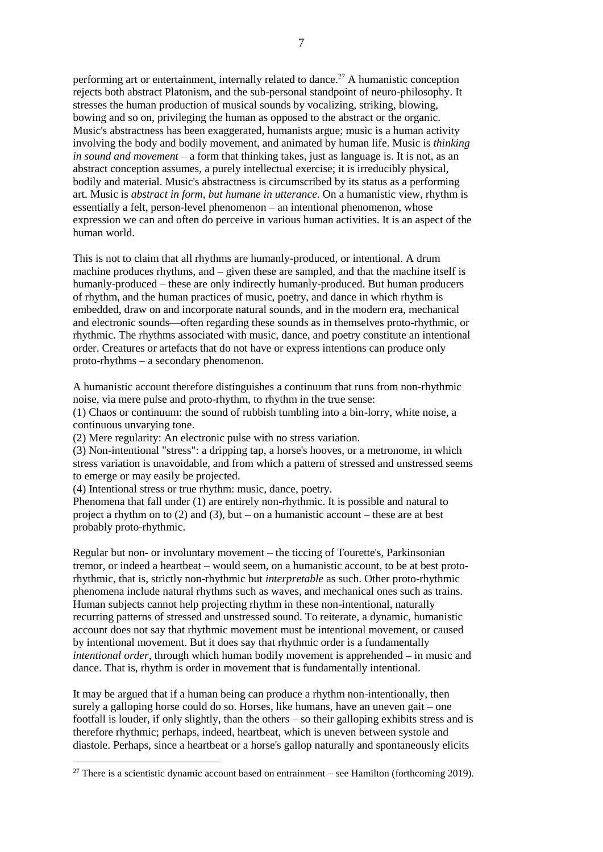performing art or entertainment, internally related to dance.<sup>27</sup> A humanistic conception rejects both abstract Platonism, and the sub-personal standpoint of neuro-philosophy. It stresses the human production of musical sounds by vocalizing, striking, blowing, bowing and so on, privileging the human as opposed to the abstract or the organic. Music's abstractness has been exaggerated, humanists argue; music is a human activity involving the body and bodily movement, and animated by human life. Music is *thinking in sound and movement* – a form that thinking takes, just as language is. It is not, as an abstract conception assumes, a purely intellectual exercise; it is irreducibly physical, bodily and material. Music's abstractness is circumscribed by its status as a performing art. Music is *abstract in form, but humane in utterance*. On a humanistic view, rhythm is essentially a felt, person-level phenomenon – an intentional phenomenon, whose expression we can and often do perceive in various human activities. It is an aspect of the human world.

This is not to claim that all rhythms are humanly-produced, or intentional. A drum machine produces rhythms, and – given these are sampled, and that the machine itself is humanly-produced – these are only indirectly humanly-produced. But human producers of rhythm, and the human practices of music, poetry, and dance in which rhythm is embedded, draw on and incorporate natural sounds, and in the modern era, mechanical and electronic sounds—often regarding these sounds as in themselves proto-rhythmic, or rhythmic. The rhythms associated with music, dance, and poetry constitute an intentional order. Creatures or artefacts that do not have or express intentions can produce only proto-rhythms – a secondary phenomenon.

A humanistic account therefore distinguishes a continuum that runs from non-rhythmic noise, via mere pulse and proto-rhythm, to rhythm in the true sense:

(1) Chaos or continuum: the sound of rubbish tumbling into a bin-lorry, white noise, a continuous unvarying tone.

(2) Mere regularity: An electronic pulse with no stress variation.

(3) Non-intentional "stress": a dripping tap, a horse's hooves, or a metronome, in which stress variation is unavoidable, and from which a pattern of stressed and unstressed seems to emerge or may easily be projected.

(4) Intentional stress or true rhythm: music, dance, poetry.

<u>.</u>

Phenomena that fall under (1) are entirely non-rhythmic. It is possible and natural to project a rhythm on to (2) and (3), but – on a humanistic account – these are at best probably proto-rhythmic.

Regular but non- or involuntary movement – the ticcing of Tourette's, Parkinsonian tremor, or indeed a heartbeat – would seem, on a humanistic account, to be at best protorhythmic, that is, strictly non-rhythmic but *interpretable* as such. Other proto-rhythmic phenomena include natural rhythms such as waves, and mechanical ones such as trains. Human subjects cannot help projecting rhythm in these non-intentional, naturally recurring patterns of stressed and unstressed sound. To reiterate, a dynamic, humanistic account does not say that rhythmic movement must be intentional movement, or caused by intentional movement. But it does say that rhythmic order is a fundamentally *intentional order*, through which human bodily movement is apprehended **–** in music and dance. That is, rhythm is order in movement that is fundamentally intentional.

It may be argued that if a human being can produce a rhythm non-intentionally, then surely a galloping horse could do so. Horses, like humans, have an uneven gait – one footfall is louder, if only slightly, than the others – so their galloping exhibits stress and is therefore rhythmic; perhaps, indeed, heartbeat, which is uneven between systole and diastole. Perhaps, since a heartbeat or a horse's gallop naturally and spontaneously elicits

<sup>&</sup>lt;sup>27</sup> There is a scientistic dynamic account based on entrainment – see Hamilton (forthcoming 2019).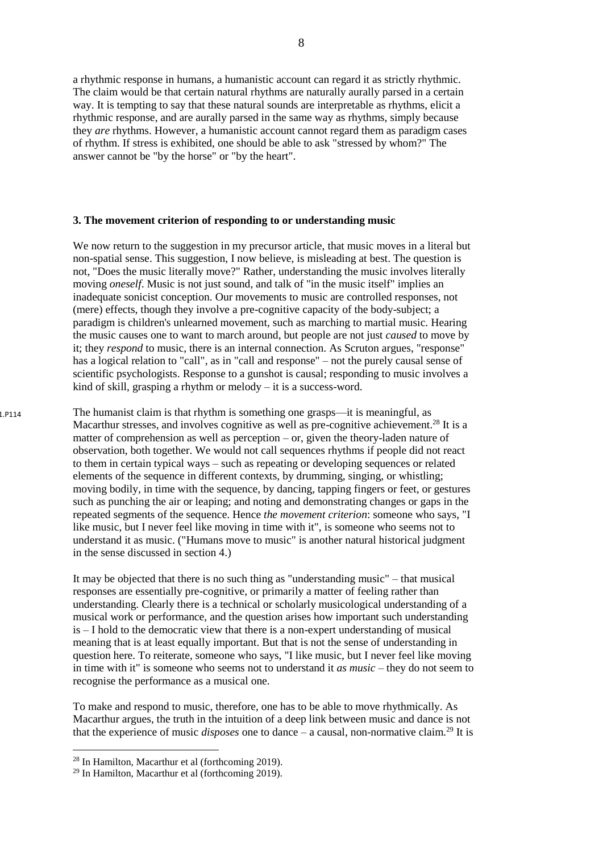a rhythmic response in humans, a humanistic account can regard it as strictly rhythmic. The claim would be that certain natural rhythms are naturally aurally parsed in a certain way. It is tempting to say that these natural sounds are interpretable as rhythms, elicit a rhythmic response, and are aurally parsed in the same way as rhythms, simply because they *are* rhythms. However, a humanistic account cannot regard them as paradigm cases of rhythm. If stress is exhibited, one should be able to ask "stressed by whom?" The answer cannot be "by the horse" or "by the heart".

#### **3. The movement criterion of responding to or understanding music**

We now return to the suggestion in my precursor article, that music moves in a literal but non-spatial sense. This suggestion, I now believe, is misleading at best. The question is not, "Does the music literally move?" Rather, understanding the music involves literally moving *oneself*. Music is not just sound, and talk of "in the music itself" implies an inadequate sonicist conception. Our movements to music are controlled responses, not (mere) effects, though they involve a pre-cognitive capacity of the body-subject; a paradigm is children's unlearned movement, such as marching to martial music. Hearing the music causes one to want to march around, but people are not just *caused* to move by it; they *respond* to music, there is an internal connection. As Scruton argues, "response" has a logical relation to "call", as in "call and response" – not the purely causal sense of scientific psychologists. Response to a gunshot is causal; responding to music involves a kind of skill, grasping a rhythm or melody – it is a success-word.

The humanist claim is that rhythm is something one grasps—it is meaningful, as Macarthur stresses, and involves cognitive as well as pre-cognitive achievement.<sup>28</sup> It is a matter of comprehension as well as perception – or, given the theory-laden nature of observation, both together. We would not call sequences rhythms if people did not react to them in certain typical ways – such as repeating or developing sequences or related elements of the sequence in different contexts, by drumming, singing, or whistling; moving bodily, in time with the sequence, by dancing, tapping fingers or feet, or gestures such as punching the air or leaping; and noting and demonstrating changes or gaps in the repeated segments of the sequence. Hence *the movement criterion*: someone who says, "I like music, but I never feel like moving in time with it", is someone who seems not to understand it as music. ("Humans move to music" is another natural historical judgment in the sense discussed in section 4.) 1.P114

> It may be objected that there is no such thing as "understanding music" – that musical responses are essentially pre-cognitive, or primarily a matter of feeling rather than understanding. Clearly there is a technical or scholarly musicological understanding of a musical work or performance, and the question arises how important such understanding is – I hold to the democratic view that there is a non-expert understanding of musical meaning that is at least equally important. But that is not the sense of understanding in question here. To reiterate, someone who says, "I like music, but I never feel like moving in time with it" is someone who seems not to understand it *as music –* they do not seem to recognise the performance as a musical one.

> To make and respond to music, therefore, one has to be able to move rhythmically. As Macarthur argues, the truth in the intuition of a deep link between music and dance is not that the experience of music *disposes* one to dance – a causal, non-normative claim.<sup>29</sup> It is

<sup>28</sup> In Hamilton, Macarthur et al (forthcoming 2019).

<sup>29</sup> In Hamilton, Macarthur et al (forthcoming 2019).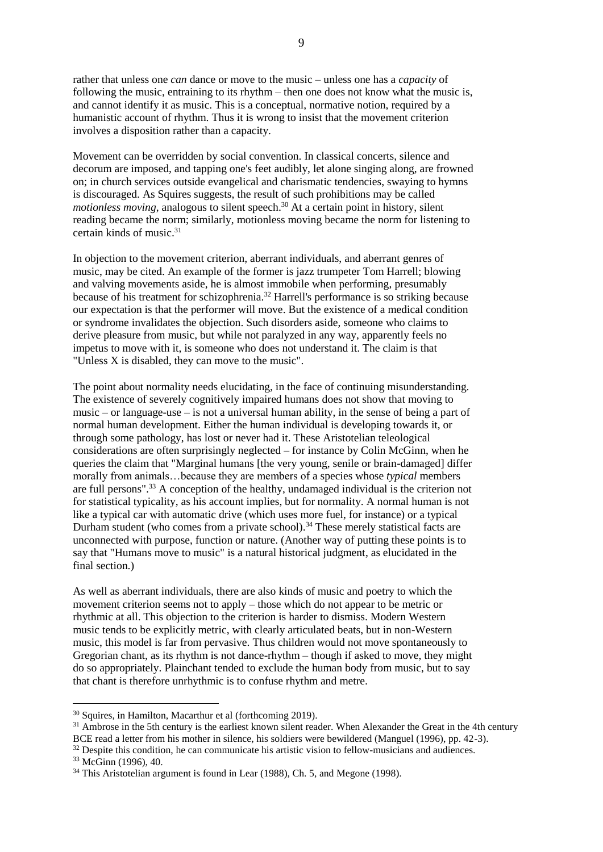rather that unless one *can* dance or move to the music – unless one has a *capacity* of following the music, entraining to its rhythm – then one does not know what the music is, and cannot identify it as music. This is a conceptual, normative notion, required by a humanistic account of rhythm. Thus it is wrong to insist that the movement criterion involves a disposition rather than a capacity.

Movement can be overridden by social convention. In classical concerts, silence and decorum are imposed, and tapping one's feet audibly, let alone singing along, are frowned on; in church services outside evangelical and charismatic tendencies, swaying to hymns is discouraged. As Squires suggests, the result of such prohibitions may be called *motionless moving*, analogous to silent speech. <sup>30</sup> At a certain point in history, silent reading became the norm; similarly, motionless moving became the norm for listening to certain kinds of music.<sup>31</sup>

In objection to the movement criterion, aberrant individuals, and aberrant genres of music, may be cited. An example of the former is jazz trumpeter Tom Harrell; blowing and valving movements aside, he is almost immobile when performing, presumably because of his treatment for schizophrenia.<sup>32</sup> Harrell's performance is so striking because our expectation is that the performer will move. But the existence of a medical condition or syndrome invalidates the objection. Such disorders aside, someone who claims to derive pleasure from music, but while not paralyzed in any way, apparently feels no impetus to move with it, is someone who does not understand it. The claim is that "Unless X is disabled, they can move to the music".

The point about normality needs elucidating, in the face of continuing misunderstanding. The existence of severely cognitively impaired humans does not show that moving to music – or language-use – is not a universal human ability, in the sense of being a part of normal human development. Either the human individual is developing towards it, or through some pathology, has lost or never had it. These Aristotelian teleological considerations are often surprisingly neglected  $-$  for instance by Colin McGinn, when he queries the claim that "Marginal humans [the very young, senile or brain-damaged] differ morally from animals…because they are members of a species whose *typical* members are full persons".<sup>33</sup> A conception of the healthy, undamaged individual is the criterion not for statistical typicality, as his account implies, but for normality. A normal human is not like a typical car with automatic drive (which uses more fuel, for instance) or a typical Durham student (who comes from a private school).<sup>34</sup> These merely statistical facts are unconnected with purpose, function or nature. (Another way of putting these points is to say that "Humans move to music" is a natural historical judgment, as elucidated in the final section.)

As well as aberrant individuals, there are also kinds of music and poetry to which the movement criterion seems not to apply – those which do not appear to be metric or rhythmic at all. This objection to the criterion is harder to dismiss. Modern Western music tends to be explicitly metric, with clearly articulated beats, but in non-Western music, this model is far from pervasive. Thus children would not move spontaneously to Gregorian chant, as its rhythm is not dance-rhythm – though if asked to move, they might do so appropriately. Plainchant tended to exclude the human body from music, but to say that chant is therefore unrhythmic is to confuse rhythm and metre.

<sup>30</sup> Squires, in Hamilton, Macarthur et al (forthcoming 2019).

<sup>&</sup>lt;sup>31</sup> Ambrose in the 5th century is the earliest known silent reader. When Alexander the Great in the 4th century BCE read a letter from his mother in silence, his soldiers were bewildered (Manguel (1996), pp. 42-3).

 $32$  Despite this condition, he can communicate his artistic vision to fellow-musicians and audiences.

<sup>33</sup> McGinn (1996), 40.

<sup>&</sup>lt;sup>34</sup> This Aristotelian argument is found in Lear (1988), Ch. 5, and Megone (1998).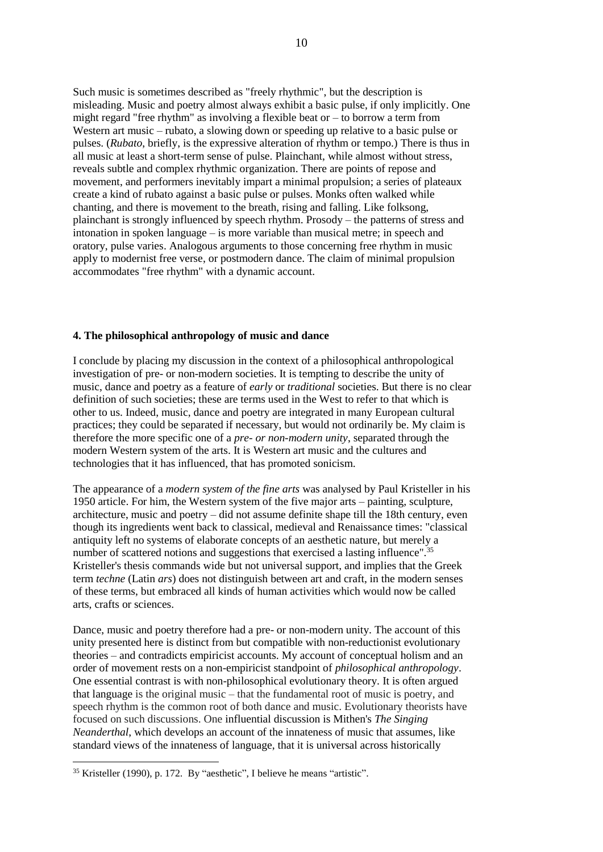Such music is sometimes described as "freely rhythmic", but the description is misleading. Music and poetry almost always exhibit a basic pulse, if only implicitly. One might regard "free rhythm" as involving a flexible beat or – to borrow a term from Western art music – rubato, a slowing down or speeding up relative to a basic pulse or pulses. (*Rubato*, briefly, is the expressive alteration of rhythm or tempo.) There is thus in all music at least a short-term sense of pulse. Plainchant, while almost without stress, reveals subtle and complex rhythmic organization. There are points of repose and movement, and performers inevitably impart a minimal propulsion; a series of plateaux create a kind of rubato against a basic pulse or pulses. Monks often walked while chanting, and there is movement to the breath, rising and falling. Like folksong, plainchant is strongly influenced by speech rhythm. Prosody – the patterns of stress and intonation in spoken language – is more variable than musical metre; in speech and oratory, pulse varies. Analogous arguments to those concerning free rhythm in music apply to modernist free verse, or postmodern dance. The claim of minimal propulsion accommodates "free rhythm" with a dynamic account.

### **4. The philosophical anthropology of music and dance**

I conclude by placing my discussion in the context of a philosophical anthropological investigation of pre- or non-modern societies. It is tempting to describe the unity of music, dance and poetry as a feature of *early* or *traditional* societies. But there is no clear definition of such societies; these are terms used in the West to refer to that which is other to us. Indeed, music, dance and poetry are integrated in many European cultural practices; they could be separated if necessary, but would not ordinarily be. My claim is therefore the more specific one of a *pre- or non-modern unity*, separated through the modern Western system of the arts. It is Western art music and the cultures and technologies that it has influenced, that has promoted sonicism.

The appearance of a *modern system of the fine arts* was analysed by Paul Kristeller in his 1950 article. For him, the Western system of the five major arts – painting, sculpture, architecture, music and poetry – did not assume definite shape till the 18th century, even though its ingredients went back to classical, medieval and Renaissance times: "classical antiquity left no systems of elaborate concepts of an aesthetic nature, but merely a number of scattered notions and suggestions that exercised a lasting influence".<sup>35</sup> Kristeller's thesis commands wide but not universal support, and implies that the Greek term *techne* (Latin *ars*) does not distinguish between art and craft, in the modern senses of these terms, but embraced all kinds of human activities which would now be called arts, crafts or sciences.

Dance, music and poetry therefore had a pre- or non-modern unity. The account of this unity presented here is distinct from but compatible with non-reductionist evolutionary theories – and contradicts empiricist accounts. My account of conceptual holism and an order of movement rests on a non-empiricist standpoint of *philosophical anthropology*. One essential contrast is with non-philosophical evolutionary theory. It is often argued that language is the original music – that the fundamental root of music is poetry, and speech rhythm is the common root of both dance and music. Evolutionary theorists have focused on such discussions. One influential discussion is Mithen's *The Singing Neanderthal*, which develops an account of the innateness of music that assumes, like standard views of the innateness of language, that it is universal across historically

<sup>&</sup>lt;sup>35</sup> Kristeller (1990), p. 172. By "aesthetic", I believe he means "artistic".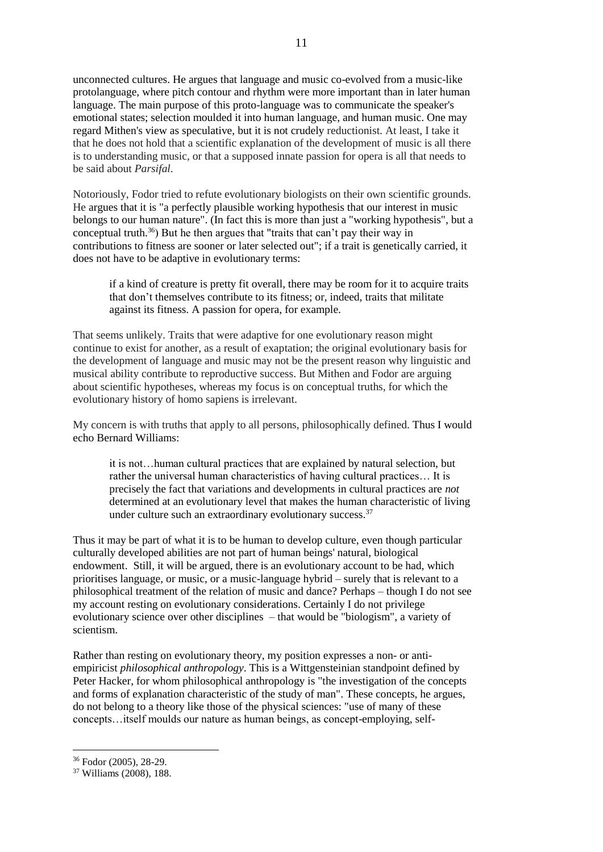unconnected cultures. He argues that language and music co-evolved from a music-like protolanguage, where pitch contour and rhythm were more important than in later human language. The main purpose of this proto-language was to communicate the speaker's emotional states; selection moulded it into human language, and human music. One may regard Mithen's view as speculative, but it is not crudely reductionist. At least, I take it that he does not hold that a scientific explanation of the development of music is all there is to understanding music, or that a supposed innate passion for opera is all that needs to be said about *Parsifal*.

Notoriously, Fodor tried to refute evolutionary biologists on their own scientific grounds. He argues that it is "a perfectly plausible working hypothesis that our interest in music belongs to our human nature". (In fact this is more than just a "working hypothesis", but a conceptual truth.<sup>36</sup>) But he then argues that "traits that can't pay their way in contributions to fitness are sooner or later selected out"; if a trait is genetically carried, it does not have to be adaptive in evolutionary terms:

if a kind of creature is pretty fit overall, there may be room for it to acquire traits that don't themselves contribute to its fitness; or, indeed, traits that militate against its fitness. A passion for opera, for example.

That seems unlikely. Traits that were adaptive for one evolutionary reason might continue to exist for another, as a result of exaptation; the original evolutionary basis for the development of language and music may not be the present reason why linguistic and musical ability contribute to reproductive success. But Mithen and Fodor are arguing about scientific hypotheses, whereas my focus is on conceptual truths, for which the evolutionary history of homo sapiens is irrelevant.

My concern is with truths that apply to all persons, philosophically defined. Thus I would echo Bernard Williams:

it is not…human cultural practices that are explained by natural selection, but rather the universal human characteristics of having cultural practices… It is precisely the fact that variations and developments in cultural practices are *not* determined at an evolutionary level that makes the human characteristic of living under culture such an extraordinary evolutionary success.<sup>37</sup>

Thus it may be part of what it is to be human to develop culture, even though particular culturally developed abilities are not part of human beings' natural, biological endowment. Still, it will be argued, there is an evolutionary account to be had, which prioritises language, or music, or a music-language hybrid – surely that is relevant to a philosophical treatment of the relation of music and dance? Perhaps – though I do not see my account resting on evolutionary considerations. Certainly I do not privilege evolutionary science over other disciplines – that would be "biologism", a variety of scientism.

Rather than resting on evolutionary theory, my position expresses a non- or antiempiricist *philosophical anthropology*. This is a Wittgensteinian standpoint defined by Peter Hacker, for whom philosophical anthropology is "the investigation of the concepts and forms of explanation characteristic of the study of man". These concepts, he argues, do not belong to a theory like those of the physical sciences: "use of many of these concepts…itself moulds our nature as human beings, as concept-employing, self-

<sup>36</sup> Fodor (2005), 28-29.

<sup>37</sup> Williams (2008), 188.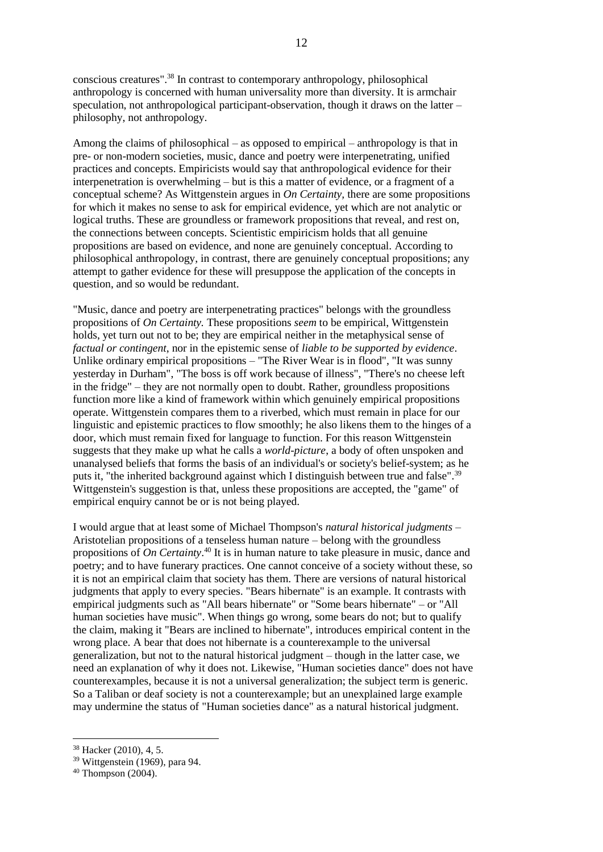conscious creatures".<sup>38</sup> In contrast to contemporary anthropology, philosophical anthropology is concerned with human universality more than diversity. It is armchair speculation, not anthropological participant-observation, though it draws on the latter – philosophy, not anthropology.

Among the claims of philosophical – as opposed to empirical – anthropology is that in pre- or non-modern societies, music, dance and poetry were interpenetrating, unified practices and concepts. Empiricists would say that anthropological evidence for their interpenetration is overwhelming – but is this a matter of evidence, or a fragment of a conceptual scheme? As Wittgenstein argues in *On Certainty,* there are some propositions for which it makes no sense to ask for empirical evidence, yet which are not analytic or logical truths. These are groundless or framework propositions that reveal, and rest on, the connections between concepts. Scientistic empiricism holds that all genuine propositions are based on evidence, and none are genuinely conceptual. According to philosophical anthropology, in contrast, there are genuinely conceptual propositions; any attempt to gather evidence for these will presuppose the application of the concepts in question, and so would be redundant.

"Music, dance and poetry are interpenetrating practices" belongs with the groundless propositions of *On Certainty.* These propositions *seem* to be empirical, Wittgenstein holds, yet turn out not to be; they are empirical neither in the metaphysical sense of *factual or contingent*, nor in the epistemic sense of *liable to be supported by evidence*. Unlike ordinary empirical propositions – "The River Wear is in flood", "It was sunny yesterday in Durham", "The boss is off work because of illness", "There's no cheese left in the fridge" – they are not normally open to doubt. Rather, groundless propositions function more like a kind of framework within which genuinely empirical propositions operate. Wittgenstein compares them to a riverbed, which must remain in place for our linguistic and epistemic practices to flow smoothly; he also likens them to the hinges of a door, which must remain fixed for language to function. For this reason Wittgenstein suggests that they make up what he calls a *world-picture*, a body of often unspoken and unanalysed beliefs that forms the basis of an individual's or society's belief-system; as he puts it, "the inherited background against which I distinguish between true and false".<sup>39</sup> Wittgenstein's suggestion is that, unless these propositions are accepted, the "game" of empirical enquiry cannot be or is not being played.

I would argue that at least some of Michael Thompson's *natural historical judgments* – Aristotelian propositions of a tenseless human nature – belong with the groundless propositions of *On Certainty*.<sup>40</sup> It is in human nature to take pleasure in music, dance and poetry; and to have funerary practices. One cannot conceive of a society without these, so it is not an empirical claim that society has them. There are versions of natural historical judgments that apply to every species. "Bears hibernate" is an example. It contrasts with empirical judgments such as "All bears hibernate" or "Some bears hibernate" – or "All human societies have music". When things go wrong, some bears do not; but to qualify the claim, making it "Bears are inclined to hibernate", introduces empirical content in the wrong place. A bear that does not hibernate is a counterexample to the universal generalization, but not to the natural historical judgment – though in the latter case, we need an explanation of why it does not. Likewise, "Human societies dance" does not have counterexamples, because it is not a universal generalization; the subject term is generic. So a Taliban or deaf society is not a counterexample; but an unexplained large example may undermine the status of "Human societies dance" as a natural historical judgment.

<sup>38</sup> Hacker (2010), 4, 5.

<sup>39</sup> Wittgenstein (1969), para 94.

 $40$  Thompson (2004).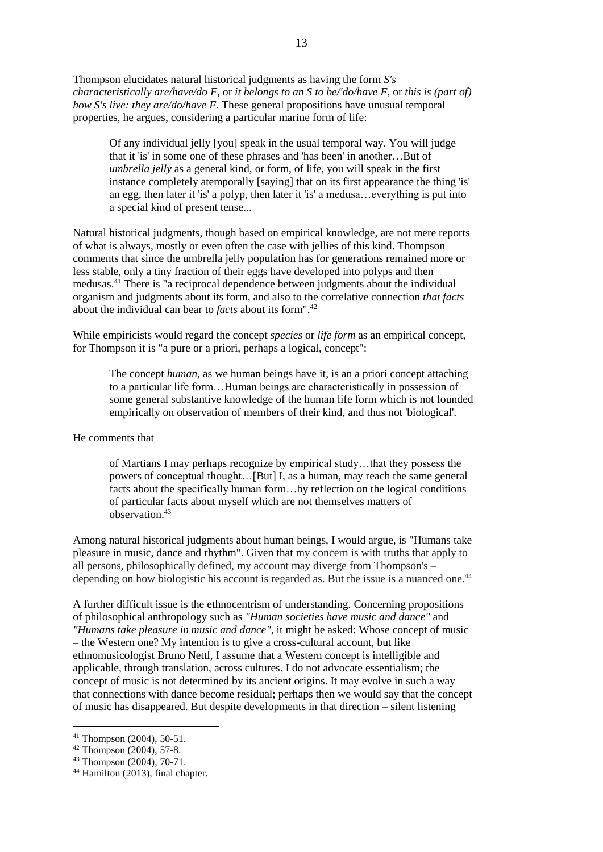Thompson elucidates natural historical judgments as having the form *S's characteristically are/have/do F,* or *it belongs to an S to be/'do/have F,* or *this is (part of) how S's live: they are/do/have F.* These general propositions have unusual temporal properties, he argues, considering a particular marine form of life:

Of any individual jelly [you] speak in the usual temporal way. You will judge that it 'is' in some one of these phrases and 'has been' in another…But of *umbrella jelly* as a general kind, or form, of life, you will speak in the first instance completely atemporally [saying] that on its first appearance the thing 'is' an egg, then later it 'is' a polyp, then later it 'is' a medusa…everything is put into a special kind of present tense...

Natural historical judgments, though based on empirical knowledge, are not mere reports of what is always, mostly or even often the case with jellies of this kind. Thompson comments that since the umbrella jelly population has for generations remained more or less stable, only a tiny fraction of their eggs have developed into polyps and then medusas.<sup>41</sup> There is "a reciprocal dependence between judgments about the individual organism and judgments about its form, and also to the correlative connection *that facts*  about the individual can bear to *facts* about its form". 42

While empiricists would regard the concept *species* or *life form* as an empirical concept, for Thompson it is "a pure or a priori, perhaps a logical, concept":

The concept *human,* as we human beings have it, is an a priori concept attaching to a particular life form…Human beings are characteristically in possession of some general substantive knowledge of the human life form which is not founded empirically on observation of members of their kind, and thus not 'biological'.

### He comments that

of Martians I may perhaps recognize by empirical study…that they possess the powers of conceptual thought…[But] I, as a human, may reach the same general facts about the specifically human form…by reflection on the logical conditions of particular facts about myself which are not themselves matters of observation.<sup>43</sup>

Among natural historical judgments about human beings, I would argue, is "Humans take pleasure in music, dance and rhythm". Given that my concern is with truths that apply to all persons, philosophically defined, my account may diverge from Thompson's – depending on how biologistic his account is regarded as. But the issue is a nuanced one.<sup>44</sup>

A further difficult issue is the ethnocentrism of understanding. Concerning propositions of philosophical anthropology such as *"Human societies have music and dance"* and *"Humans take pleasure in music and dance"*, it might be asked: Whose concept of music – the Western one? My intention is to give a cross-cultural account, but like ethnomusicologist Bruno Nettl, I assume that a Western concept is intelligible and applicable, through translation, across cultures. I do not advocate essentialism; the concept of music is not determined by its ancient origins. It may evolve in such a way that connections with dance become residual; perhaps then we would say that the concept of music has disappeared. But despite developments in that direction – silent listening

<sup>41</sup> Thompson (2004), 50-51.

 $42$  Thompson (2004), 57-8.

<sup>43</sup> Thompson (2004), 70-71.

<sup>44</sup> Hamilton (2013), final chapter.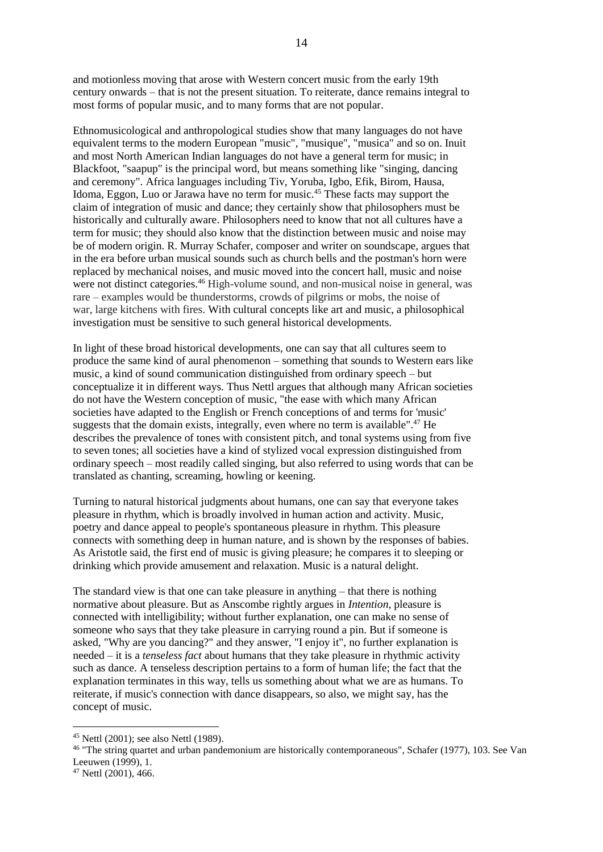and motionless moving that arose with Western concert music from the early 19th century onwards – that is not the present situation. To reiterate, dance remains integral to most forms of popular music, and to many forms that are not popular.

Ethnomusicological and anthropological studies show that many languages do not have equivalent terms to the modern European "music", "musique", "musica" and so on. Inuit and most North American Indian languages do not have a general term for music; in Blackfoot, "saapup" is the principal word, but means something like "singing, dancing and ceremony". Africa languages including Tiv, Yoruba, Igbo, Efik, Birom, Hausa, Idoma, Eggon, Luo or Jarawa have no term for music.<sup>45</sup> These facts may support the claim of integration of music and dance; they certainly show that philosophers must be historically and culturally aware. Philosophers need to know that not all cultures have a term for music; they should also know that the distinction between music and noise may be of modern origin. R. Murray Schafer, composer and writer on soundscape, argues that in the era before urban musical sounds such as church bells and the postman's horn were replaced by mechanical noises, and music moved into the concert hall, music and noise were not distinct categories.<sup>46</sup> High-volume sound, and non-musical noise in general, was rare – examples would be thunderstorms, crowds of pilgrims or mobs, the noise of war, large kitchens with fires. With cultural concepts like art and music, a philosophical investigation must be sensitive to such general historical developments.

In light of these broad historical developments, one can say that all cultures seem to produce the same kind of aural phenomenon – something that sounds to Western ears like music, a kind of sound communication distinguished from ordinary speech – but conceptualize it in different ways. Thus Nettl argues that although many African societies do not have the Western conception of music, "the ease with which many African societies have adapted to the English or French conceptions of and terms for 'music' suggests that the domain exists, integrally, even where no term is available". $47$  He describes the prevalence of tones with consistent pitch, and tonal systems using from five to seven tones; all societies have a kind of stylized vocal expression distinguished from ordinary speech – most readily called singing, but also referred to using words that can be translated as chanting, screaming, howling or keening.

Turning to natural historical judgments about humans, one can say that everyone takes pleasure in rhythm, which is broadly involved in human action and activity. Music, poetry and dance appeal to people's spontaneous pleasure in rhythm. This pleasure connects with something deep in human nature, and is shown by the responses of babies. As Aristotle said, the first end of music is giving pleasure; he compares it to sleeping or drinking which provide amusement and relaxation. Music is a natural delight.

The standard view is that one can take pleasure in anything – that there is nothing normative about pleasure. But as Anscombe rightly argues in *Intention*, pleasure is connected with intelligibility; without further explanation, one can make no sense of someone who says that they take pleasure in carrying round a pin. But if someone is asked, "Why are you dancing?" and they answer, "I enjoy it", no further explanation is needed – it is a *tenseless fact* about humans that they take pleasure in rhythmic activity such as dance. A tenseless description pertains to a form of human life; the fact that the explanation terminates in this way, tells us something about what we are as humans. To reiterate, if music's connection with dance disappears, so also, we might say, has the concept of music.

<sup>45</sup> Nettl (2001); see also Nettl (1989).

<sup>46</sup> "The string quartet and urban pandemonium are historically contemporaneous", Schafer (1977), 103. See Van Leeuwen (1999), 1.

<sup>47</sup> Nettl (2001), 466.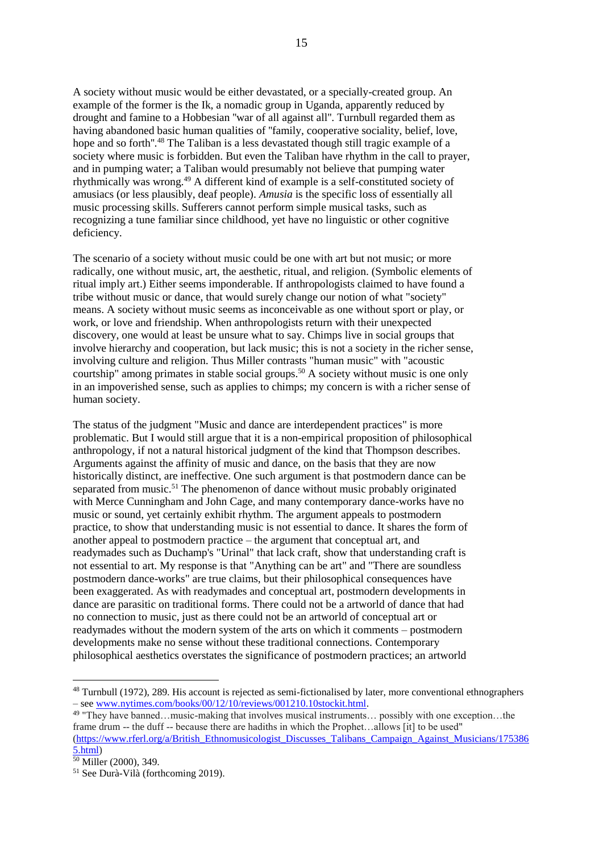A society without music would be either devastated, or a specially-created group. An example of the former is the Ik, a nomadic group in Uganda, apparently reduced by drought and famine to a Hobbesian ''war of all against all''. Turnbull regarded them as having abandoned basic human qualities of ''family, cooperative sociality, belief, love, hope and so forth".<sup>48</sup> The Taliban is a less devastated though still tragic example of a society where music is forbidden. But even the Taliban have rhythm in the call to prayer, and in pumping water; a Taliban would presumably not believe that pumping water rhythmically was wrong.<sup>49</sup> A different kind of example is a self-constituted society of amusiacs (or less plausibly, deaf people). *Amusia* is the specific loss of essentially all music processing skills. Sufferers cannot perform simple musical tasks, such as recognizing a tune familiar since childhood, yet have no linguistic or other cognitive deficiency.

The scenario of a society without music could be one with art but not music; or more radically, one without music, art, the aesthetic, ritual, and religion. (Symbolic elements of ritual imply art.) Either seems imponderable. If anthropologists claimed to have found a tribe without music or dance, that would surely change our notion of what "society" means. A society without music seems as inconceivable as one without sport or play, or work, or love and friendship. When anthropologists return with their unexpected discovery, one would at least be unsure what to say. Chimps live in social groups that involve hierarchy and cooperation, but lack music; this is not a society in the richer sense, involving culture and religion. Thus Miller contrasts "human music" with "acoustic courtship" among primates in stable social groups.<sup>50</sup> A society without music is one only in an impoverished sense, such as applies to chimps; my concern is with a richer sense of human society.

The status of the judgment "Music and dance are interdependent practices" is more problematic. But I would still argue that it is a non-empirical proposition of philosophical anthropology, if not a natural historical judgment of the kind that Thompson describes. Arguments against the affinity of music and dance, on the basis that they are now historically distinct, are ineffective. One such argument is that postmodern dance can be separated from music.<sup>51</sup> The phenomenon of dance without music probably originated with Merce Cunningham and John Cage, and many contemporary dance-works have no music or sound, yet certainly exhibit rhythm. The argument appeals to postmodern practice, to show that understanding music is not essential to dance. It shares the form of another appeal to postmodern practice – the argument that conceptual art, and readymades such as Duchamp's "Urinal" that lack craft, show that understanding craft is not essential to art. My response is that "Anything can be art" and "There are soundless postmodern dance-works" are true claims, but their philosophical consequences have been exaggerated. As with readymades and conceptual art, postmodern developments in dance are parasitic on traditional forms. There could not be a artworld of dance that had no connection to music, just as there could not be an artworld of conceptual art or readymades without the modern system of the arts on which it comments – postmodern developments make no sense without these traditional connections. Contemporary philosophical aesthetics overstates the significance of postmodern practices; an artworld

<sup>48</sup> Turnbull (1972), 289. His account is rejected as semi-fictionalised by later, more conventional ethnographers – see [www.nytimes.com/books/00/12/10/reviews/001210.10stockit.html.](http://www.nytimes.com/books/00/12/10/reviews/001210.10stockit.html)

<sup>49</sup> "They have banned…music-making that involves musical instruments… possibly with one exception…the frame drum -- the duff -- because there are hadiths in which the Prophet...allows [it] to be used" [\(https://www.rferl.org/a/British\\_Ethnomusicologist\\_Discusses\\_Talibans\\_Campaign\\_Against\\_Musicians/175386](https://www.rferl.org/a/British_Ethnomusicologist_Discusses_Talibans_Campaign_Against_Musicians/1753865.html) [5.html\)](https://www.rferl.org/a/British_Ethnomusicologist_Discusses_Talibans_Campaign_Against_Musicians/1753865.html)

<sup>50</sup> Miller (2000), 349.

<sup>51</sup> See Durà-Vilà (forthcoming 2019).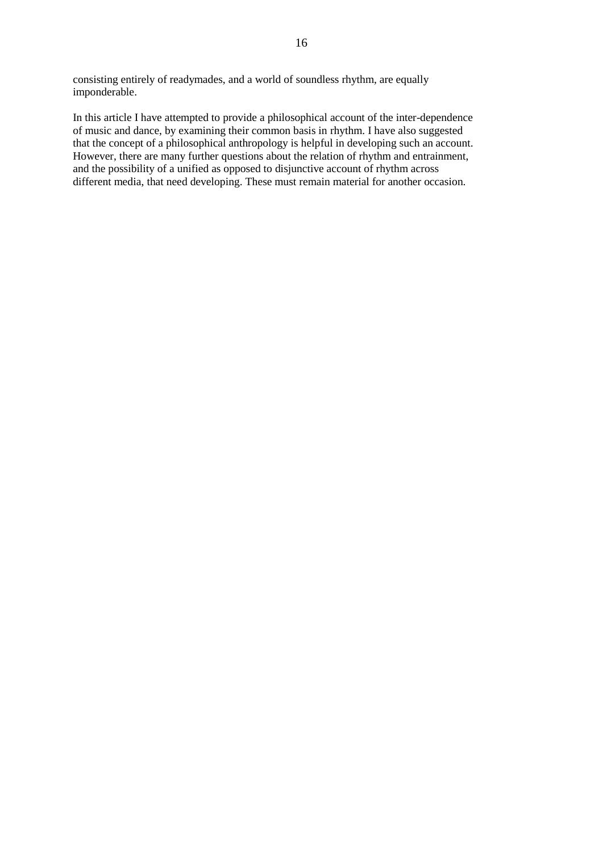consisting entirely of readymades, and a world of soundless rhythm, are equally imponderable.

In this article I have attempted to provide a philosophical account of the inter-dependence of music and dance, by examining their common basis in rhythm. I have also suggested that the concept of a philosophical anthropology is helpful in developing such an account. However, there are many further questions about the relation of rhythm and entrainment, and the possibility of a unified as opposed to disjunctive account of rhythm across different media, that need developing. These must remain material for another occasion.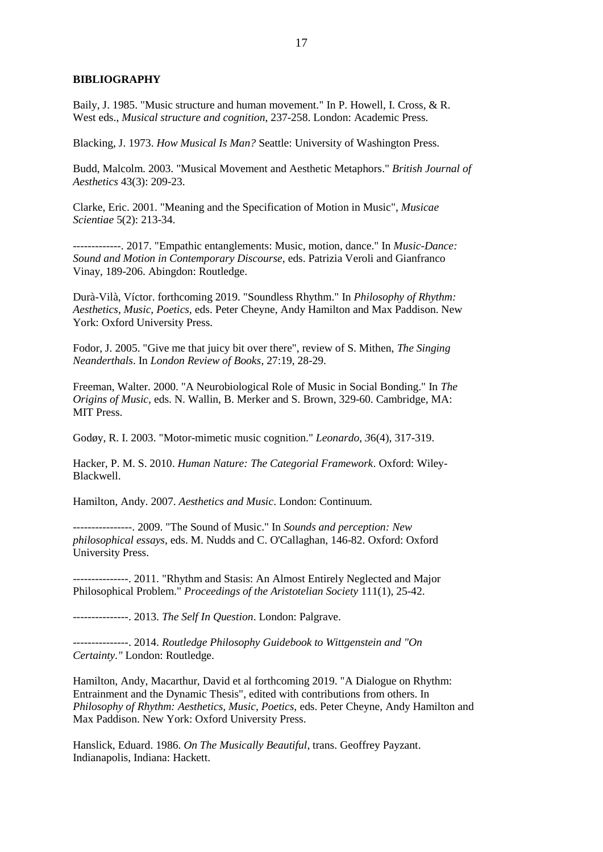#### **BIBLIOGRAPHY**

Baily, J. 1985. "Music structure and human movement." In P. Howell, I. Cross, & R. West eds., *Musical structure and cognition*, 237-258. London: Academic Press.

Blacking, J. 1973. *How Musical Is Man?* Seattle: University of Washington Press.

Budd, Malcolm. 2003. "Musical Movement and Aesthetic Metaphors." *British Journal of Aesthetics* 43(3): 209-23.

Clarke, Eric. 2001. "Meaning and the Specification of Motion in Music", *Musicae Scientiae* 5(2): 213-34.

-------------. 2017. "Empathic entanglements: Music, motion, dance." In *Music-Dance: Sound and Motion in Contemporary Discourse*, eds. Patrizia Veroli and Gianfranco Vinay, 189-206. Abingdon: Routledge.

Durà-Vilà, Víctor. forthcoming 2019. "Soundless Rhythm." In *Philosophy of Rhythm: Aesthetics, Music, Poetics,* eds. Peter Cheyne, Andy Hamilton and Max Paddison. New York: Oxford University Press.

Fodor, J. 2005. "Give me that juicy bit over there", review of S. Mithen, *The Singing Neanderthals*. In *London Review of Books*, 27:19, 28-29.

Freeman, Walter. 2000. "A Neurobiological Role of Music in Social Bonding." In *The Origins of Music,* eds. N. Wallin, B. Merker and S. Brown, 329-60. Cambridge, MA: MIT Press.

Godøy, R. I. 2003. "Motor-mimetic music cognition." *Leonardo*, *3*6(4), 317-319.

Hacker, P. M. S. 2010. *Human Nature: The Categorial Framework*. Oxford: Wiley-Blackwell.

Hamilton, Andy. 2007. *Aesthetics and Music*. London: Continuum.

----------------. 2009. "The Sound of Music." In *Sounds and perception: New philosophical essays*, eds. M. Nudds and C. O'Callaghan, 146-82. Oxford: Oxford University Press.

---------------. 2011. "Rhythm and Stasis: An Almost Entirely Neglected and Major Philosophical Problem." *Proceedings of the Aristotelian Society* 111(1), 25-42.

---------------. 2013. *The Self In Question*. London: Palgrave.

---------------. 2014. *Routledge Philosophy Guidebook to Wittgenstein and "On Certainty."* London: Routledge.

Hamilton, Andy, Macarthur, David et al forthcoming 2019. "A Dialogue on Rhythm: Entrainment and the Dynamic Thesis", edited with contributions from others. In *Philosophy of Rhythm: Aesthetics, Music, Poetics,* eds. Peter Cheyne, Andy Hamilton and Max Paddison. New York: Oxford University Press.

Hanslick, Eduard. 1986. *On The Musically Beautiful*, trans. Geoffrey Payzant. Indianapolis, Indiana: Hackett.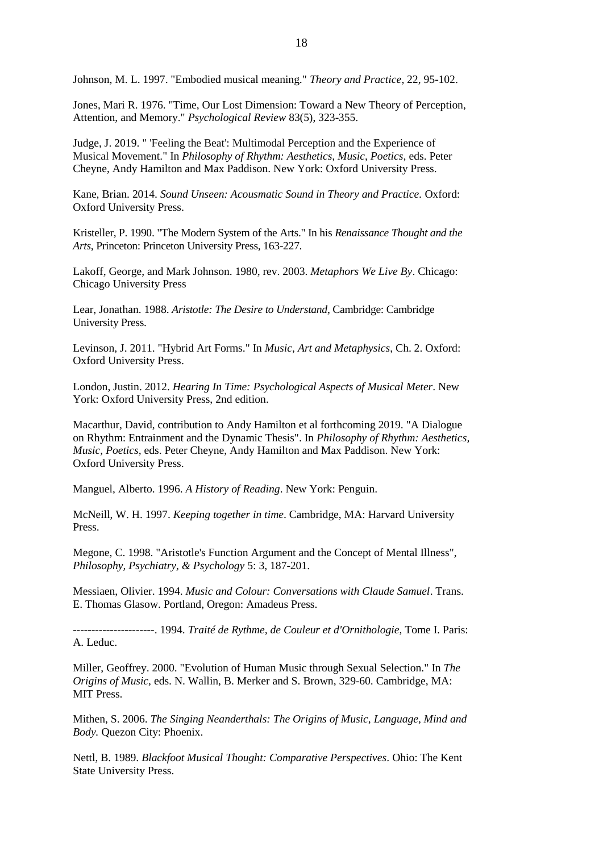Johnson, M. L. 1997. "Embodied musical meaning." *Theory and Practice*, 22, 95-102.

Jones, Mari R. 1976. "Time, Our Lost Dimension: Toward a New Theory of Perception, Attention, and Memory." *Psychological Review* 83(5), 323-355.

Judge, J. 2019. " 'Feeling the Beat': Multimodal Perception and the Experience of Musical Movement." In *Philosophy of Rhythm: Aesthetics, Music, Poetics,* eds. Peter Cheyne, Andy Hamilton and Max Paddison. New York: Oxford University Press.

Kane, Brian. 2014. *Sound Unseen: Acousmatic Sound in Theory and Practice.* Oxford: Oxford University Press.

Kristeller, P. 1990. "The Modern System of the Arts." In his *Renaissance Thought and the Arts*, Princeton: Princeton University Press, 163-227.

Lakoff, George, and Mark Johnson. 1980, rev. 2003. *Metaphors We Live By*. Chicago: Chicago University Press

Lear, Jonathan. 1988. *Aristotle: The Desire to Understand*, Cambridge: Cambridge University Press.

Levinson, J. 2011. "Hybrid Art Forms." In *Music, Art and Metaphysics*, Ch. 2. Oxford: Oxford University Press.

London, Justin. 2012. *Hearing In Time: Psychological Aspects of Musical Meter*. New York: Oxford University Press, 2nd edition.

Macarthur, David, contribution to Andy Hamilton et al forthcoming 2019. "A Dialogue on Rhythm: Entrainment and the Dynamic Thesis". In *Philosophy of Rhythm: Aesthetics, Music, Poetics,* eds. Peter Cheyne, Andy Hamilton and Max Paddison. New York: Oxford University Press.

Manguel, Alberto. 1996. *A History of Reading*. New York: Penguin.

McNeill, W. H. 1997. *Keeping together in time*. Cambridge, MA: Harvard University Press.

Megone, C. 1998. "Aristotle's Function Argument and the Concept of Mental Illness", *Philosophy, Psychiatry, & Psychology* 5: 3, 187-201.

Messiaen, Olivier. 1994. *Music and Colour: Conversations with Claude Samuel*. Trans. E. Thomas Glasow. Portland, Oregon: Amadeus Press.

----------------------. 1994. *Traité de Rythme, de Couleur et d'Ornithologie*, Tome I. Paris: A. Leduc.

Miller, Geoffrey. 2000. "Evolution of Human Music through Sexual Selection." In *The Origins of Music,* eds. N. Wallin, B. Merker and S. Brown, 329-60. Cambridge, MA: MIT Press.

Mithen, S. 2006. *The Singing Neanderthals: The Origins of Music, Language, Mind and Body.* Quezon City: Phoenix.

Nettl, B. 1989. *Blackfoot Musical Thought: Comparative Perspectives*. Ohio: The Kent State University Press.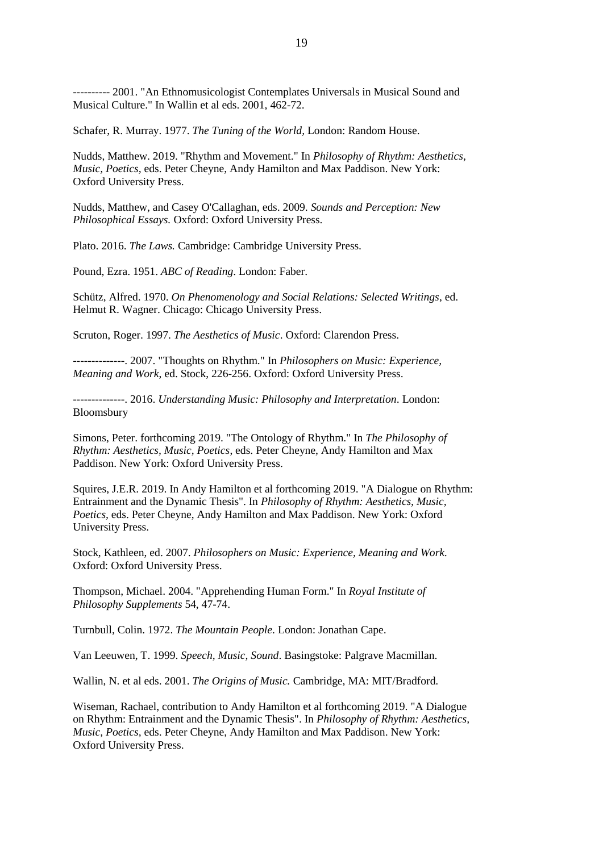---------- 2001. "An Ethnomusicologist Contemplates Universals in Musical Sound and Musical Culture." In Wallin et al eds. 2001, 462-72.

Schafer, R. Murray. 1977. *The Tuning of the World,* London: Random House.

Nudds, Matthew. 2019. "Rhythm and Movement." In *Philosophy of Rhythm: Aesthetics, Music, Poetics,* eds. Peter Cheyne, Andy Hamilton and Max Paddison. New York: Oxford University Press.

Nudds, Matthew, and Casey O'Callaghan, eds. 2009. *Sounds and Perception: New Philosophical Essays.* Oxford: Oxford University Press.

Plato. 2016. *The Laws.* Cambridge: Cambridge University Press.

Pound, Ezra. 1951. *ABC of Reading*. London: Faber.

Schütz, Alfred. 1970. *On Phenomenology and Social Relations: Selected Writings*, ed. Helmut R. Wagner. Chicago: Chicago University Press.

Scruton, Roger. 1997. *The Aesthetics of Music*. Oxford: Clarendon Press.

--------------. 2007. "Thoughts on Rhythm." In *Philosophers on Music: Experience, Meaning and Work*, ed. Stock, 226-256. Oxford: Oxford University Press.

--------------. 2016. *Understanding Music: Philosophy and Interpretation*. London: Bloomsbury

Simons, Peter. forthcoming 2019. "The Ontology of Rhythm." In *The Philosophy of Rhythm: Aesthetics, Music, Poetics*, eds. Peter Cheyne, Andy Hamilton and Max Paddison. New York: Oxford University Press.

Squires, J.E.R. 2019. In Andy Hamilton et al forthcoming 2019. "A Dialogue on Rhythm: Entrainment and the Dynamic Thesis". In *Philosophy of Rhythm: Aesthetics, Music, Poetics,* eds. Peter Cheyne, Andy Hamilton and Max Paddison. New York: Oxford University Press.

Stock, Kathleen, ed. 2007. *Philosophers on Music: Experience, Meaning and Work.* Oxford: Oxford University Press.

Thompson, Michael. 2004. "Apprehending Human Form." In *Royal Institute of Philosophy Supplements* 54, 47-74.

Turnbull, Colin. 1972. *The Mountain People*. London: Jonathan Cape.

Van Leeuwen, T. 1999. *Speech, Music, Sound*. Basingstoke: Palgrave Macmillan.

Wallin, N. et al eds. 2001. *The Origins of Music.* Cambridge, MA: MIT/Bradford.

Wiseman, Rachael, contribution to Andy Hamilton et al forthcoming 2019. "A Dialogue on Rhythm: Entrainment and the Dynamic Thesis". In *Philosophy of Rhythm: Aesthetics, Music, Poetics,* eds. Peter Cheyne, Andy Hamilton and Max Paddison. New York: Oxford University Press.